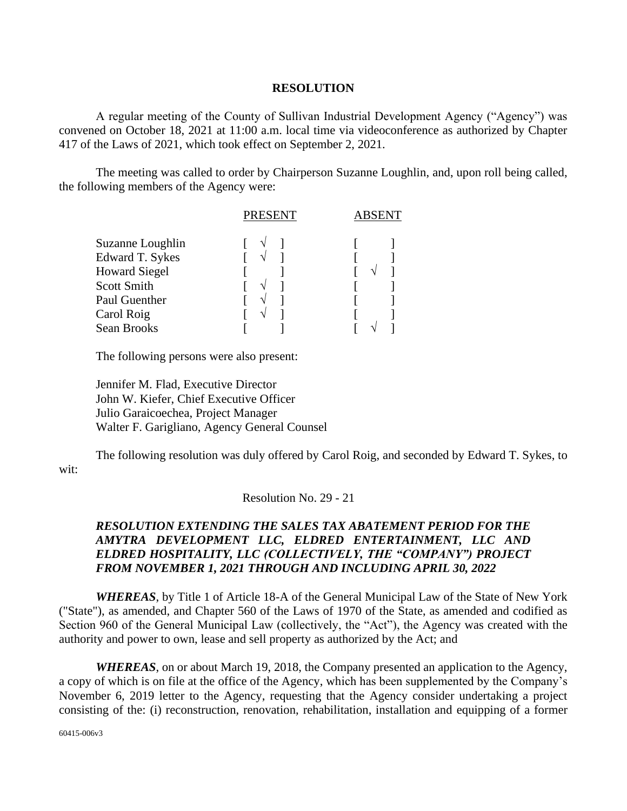## **RESOLUTION**

A regular meeting of the County of Sullivan Industrial Development Agency ("Agency") was convened on October 18, 2021 at 11:00 a.m. local time via videoconference as authorized by Chapter 417 of the Laws of 2021, which took effect on September 2, 2021.

The meeting was called to order by Chairperson Suzanne Loughlin, and, upon roll being called, the following members of the Agency were:

|                        | <b>PRESENT</b> | ABSENT |
|------------------------|----------------|--------|
| Suzanne Loughlin       |                |        |
| <b>Edward T. Sykes</b> |                |        |
| <b>Howard Siegel</b>   |                |        |
| <b>Scott Smith</b>     |                |        |
| Paul Guenther          |                |        |
| Carol Roig             |                |        |
| Sean Brooks            |                |        |

The following persons were also present:

Jennifer M. Flad, Executive Director John W. Kiefer, Chief Executive Officer Julio Garaicoechea, Project Manager Walter F. Garigliano, Agency General Counsel

The following resolution was duly offered by Carol Roig, and seconded by Edward T. Sykes, to wit:

Resolution No. 29 - 21

## *RESOLUTION EXTENDING THE SALES TAX ABATEMENT PERIOD FOR THE AMYTRA DEVELOPMENT LLC, ELDRED ENTERTAINMENT, LLC AND ELDRED HOSPITALITY, LLC (COLLECTIVELY, THE "COMPANY") PROJECT FROM NOVEMBER 1, 2021 THROUGH AND INCLUDING APRIL 30, 2022*

*WHEREAS*, by Title 1 of Article 18-A of the General Municipal Law of the State of New York ("State"), as amended, and Chapter 560 of the Laws of 1970 of the State, as amended and codified as Section 960 of the General Municipal Law (collectively, the "Act"), the Agency was created with the authority and power to own, lease and sell property as authorized by the Act; and

*WHEREAS*, on or about March 19, 2018, the Company presented an application to the Agency, a copy of which is on file at the office of the Agency, which has been supplemented by the Company's November 6, 2019 letter to the Agency, requesting that the Agency consider undertaking a project consisting of the: (i) reconstruction, renovation, rehabilitation, installation and equipping of a former